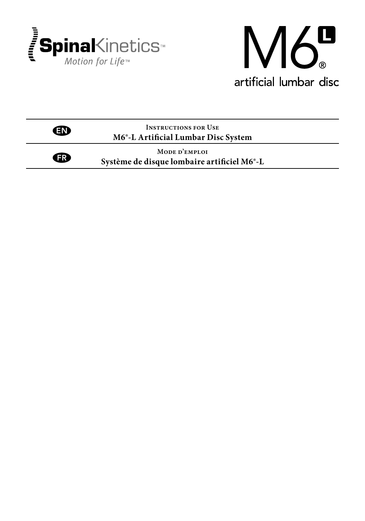

 $\bigoplus$ 



**Instructions for Use M6®-L Artificial Lumbar Disc System** EN

> **Mode d'emploi Système de disque lombaire artificiel M6®-L**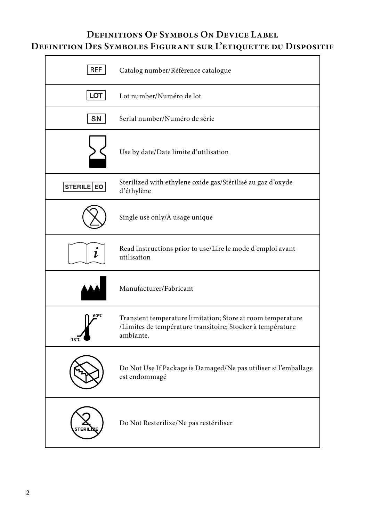# **Definitions Of Symbols On Device Label Definition Des Symboles Figurant sur L'etiquette du Dispositif**

| <b>REF</b> | Catalog number/Référence catalogue                                                                                                     |
|------------|----------------------------------------------------------------------------------------------------------------------------------------|
| LOT        | Lot number/Numéro de lot                                                                                                               |
| SN         | Serial number/Numéro de série                                                                                                          |
|            | Use by date/Date limite d'utilisation                                                                                                  |
| STERILE EO | Sterilized with ethylene oxide gas/Stérilisé au gaz d'oxyde<br>d'éthylène                                                              |
|            | Single use only/À usage unique                                                                                                         |
| 1          | Read instructions prior to use/Lire le mode d'emploi avant<br>utilisation                                                              |
|            | Manufacturer/Fabricant                                                                                                                 |
|            | Transient temperature limitation; Store at room temperature<br>/Limites de température transitoire; Stocker à température<br>ambiante. |
|            | Do Not Use If Package is Damaged/Ne pas utiliser si l'emballage<br>est endommagé                                                       |
|            | Do Not Resterilize/Ne pas restériliser                                                                                                 |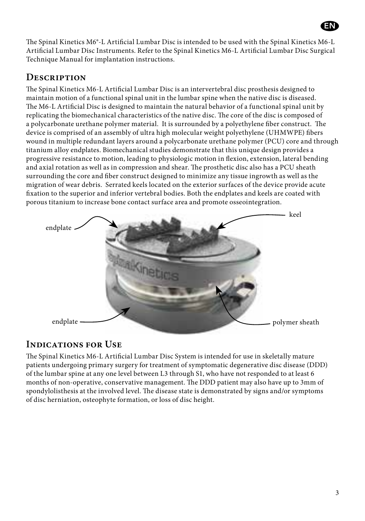The Spinal Kinetics M6®-L Artificial Lumbar Disc is intended to be used with the Spinal Kinetics M6-L Artificial Lumbar Disc Instruments. Refer to the Spinal Kinetics M6-L Artificial Lumbar Disc Surgical Technique Manual for implantation instructions.

## **Description**

The Spinal Kinetics M6-L Artificial Lumbar Disc is an intervertebral disc prosthesis designed to maintain motion of a functional spinal unit in the lumbar spine when the native disc is diseased. The M6-L Artificial Disc is designed to maintain the natural behavior of a functional spinal unit by replicating the biomechanical characteristics of the native disc. The core of the disc is composed of a polycarbonate urethane polymer material. It is surrounded by a polyethylene fiber construct. The device is comprised of an assembly of ultra high molecular weight polyethylene (UHMWPE) fibers wound in multiple redundant layers around a polycarbonate urethane polymer (PCU) core and through titanium alloy endplates. Biomechanical studies demonstrate that this unique design provides a progressive resistance to motion, leading to physiologic motion in flexion, extension, lateral bending and axial rotation as well as in compression and shear. The prosthetic disc also has a PCU sheath surrounding the core and fiber construct designed to minimize any tissue ingrowth as well as the migration of wear debris. Serrated keels located on the exterior surfaces of the device provide acute fixation to the superior and inferior vertebral bodies. Both the endplates and keels are coated with porous titanium to increase bone contact surface area and promote osseointegration.



# **Indications for Use**

The Spinal Kinetics M6-L Artificial Lumbar Disc System is intended for use in skeletally mature patients undergoing primary surgery for treatment of symptomatic degenerative disc disease (DDD) of the lumbar spine at any one level between L3 through S1, who have not responded to at least 6 months of non-operative, conservative management. The DDD patient may also have up to 3mm of spondylolisthesis at the involved level. The disease state is demonstrated by signs and/or symptoms of disc herniation, osteophyte formation, or loss of disc height.

EN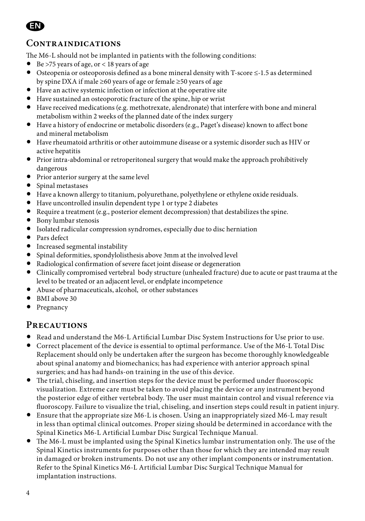

## **Contraindications**

The M6-L should not be implanted in patients with the following conditions:

- Be >75 years of age, or < 18 years of age
- Osteopenia or osteoporosis defined as a bone mineral density with T-score ≤-1.5 as determined by spine DXA if male ≥60 years of age or female ≥50 years of age
- Have an active systemic infection or infection at the operative site
- Have sustained an osteoporotic fracture of the spine, hip or wrist
- Have received medications (e.g. methotrexate, alendronate) that interfere with bone and mineral metabolism within 2 weeks of the planned date of the index surgery
- Have a history of endocrine or metabolic disorders (e.g., Paget's disease) known to affect bone and mineral metabolism
- Have rheumatoid arthritis or other autoimmune disease or a systemic disorder such as HIV or active hepatitis
- Prior intra-abdominal or retroperitoneal surgery that would make the approach prohibitively dangerous
- Prior anterior surgery at the same level
- Spinal metastases
- Have a known allergy to titanium, polyurethane, polyethylene or ethylene oxide residuals.
- Have uncontrolled insulin dependent type 1 or type 2 diabetes
- Require a treatment (e.g., posterior element decompression) that destabilizes the spine.
- Bony lumbar stenosis
- Isolated radicular compression syndromes, especially due to disc herniation
- Pars defect
- Increased segmental instability
- Spinal deformities, spondylolisthesis above 3mm at the involved level
- Radiological confirmation of severe facet joint disease or degeneration
- Clinically compromised vertebral body structure (unhealed fracture) due to acute or past trauma at the level to be treated or an adjacent level, or endplate incompetence
- Abuse of pharmaceuticals, alcohol, or other substances
- BMI above 30
- Pregnancy

#### **Precautions**

- Read and understand the M6-L Artificial Lumbar Disc System Instructions for Use prior to use.
- Correct placement of the device is essential to optimal performance. Use of the M6-L Total Disc Replacement should only be undertaken after the surgeon has become thoroughly knowledgeable about spinal anatomy and biomechanics; has had experience with anterior approach spinal surgeries; and has had hands-on training in the use of this device.
- The trial, chiseling, and insertion steps for the device must be performed under fluoroscopic visualization. Extreme care must be taken to avoid placing the device or any instrument beyond the posterior edge of either vertebral body. The user must maintain control and visual reference via fluoroscopy. Failure to visualize the trial, chiseling, and insertion steps could result in patient injury.
- Ensure that the appropriate size M6-L is chosen. Using an inappropriately sized M6-L may result in less than optimal clinical outcomes. Proper sizing should be determined in accordance with the Spinal Kinetics M6-L Artificial Lumbar Disc Surgical Technique Manual.
- The M6-L must be implanted using the Spinal Kinetics lumbar instrumentation only. The use of the Spinal Kinetics instruments for purposes other than those for which they are intended may result in damaged or broken instruments. Do not use any other implant components or instrumentation. Refer to the Spinal Kinetics M6-L Artificial Lumbar Disc Surgical Technique Manual for implantation instructions.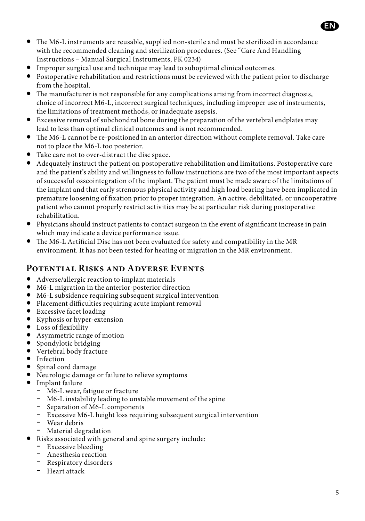

- The M6-L instruments are reusable, supplied non-sterile and must be sterilized in accordance with the recommended cleaning and sterilization procedures. (See "Care And Handling Instructions – Manual Surgical Instruments, PK 0234)
- Improper surgical use and technique may lead to suboptimal clinical outcomes.
- Postoperative rehabilitation and restrictions must be reviewed with the patient prior to discharge from the hospital.
- The manufacturer is not responsible for any complications arising from incorrect diagnosis, choice of incorrect M6-L, incorrect surgical techniques, including improper use of instruments, the limitations of treatment methods, or inadequate asepsis.
- Excessive removal of subchondral bone during the preparation of the vertebral endplates may lead to less than optimal clinical outcomes and is not recommended.
- The M6-L cannot be re-positioned in an anterior direction without complete removal. Take care not to place the M6-L too posterior.
- Take care not to over-distract the disc space.
- Adequately instruct the patient on postoperative rehabilitation and limitations. Postoperative care and the patient's ability and willingness to follow instructions are two of the most important aspects of successful osseointegration of the implant. The patient must be made aware of the limitations of the implant and that early strenuous physical activity and high load bearing have been implicated in premature loosening of fixation prior to proper integration. An active, debilitated, or uncooperative patient who cannot properly restrict activities may be at particular risk during postoperative rehabilitation.
- Physicians should instruct patients to contact surgeon in the event of significant increase in pain which may indicate a device performance issue.
- The M6-L Artificial Disc has not been evaluated for safety and compatibility in the MR environment. It has not been tested for heating or migration in the MR environment.

# **Potential Risks and Adverse Events**

- Adverse/allergic reaction to implant materials
- M6-L migration in the anterior-posterior direction
- M6-L subsidence requiring subsequent surgical intervention
- Placement difficulties requiring acute implant removal
- Excessive facet loading
- Kyphosis or hyper-extension
- Loss of flexibility
- Asymmetric range of motion
- Spondylotic bridging
- Vertebral body fracture
- Infection
- Spinal cord damage
- Neurologic damage or failure to relieve symptoms
- Implant failure
	- M6-L wear, fatigue or fracture
	- M6-L instability leading to unstable movement of the spine
	- Separation of M6-L components
	- Excessive M6-L height loss requiring subsequent surgical intervention
	- Wear debris
	- Material degradation
- Risks associated with general and spine surgery include:
	- Excessive bleeding
	- Anesthesia reaction
	- Respiratory disorders
	- Heart attack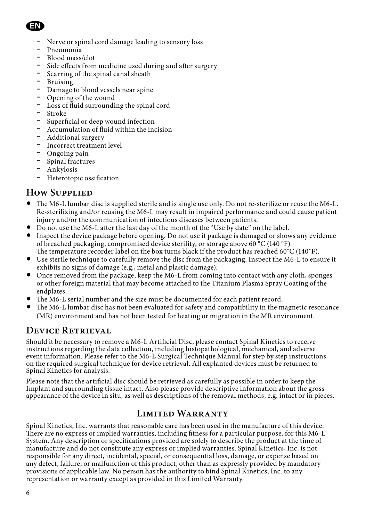# EN

- Nerve or spinal cord damage leading to sensory loss
- Pneumonia
- Blood mass/clot
- Side effects from medicine used during and after surgery
- Scarring of the spinal canal sheath
- Bruising
- Damage to blood vessels near spine
- Opening of the wound
- Loss of fluid surrounding the spinal cord
- Stroke
- Superficial or deep wound infection
- Accumulation of fluid within the incision
- Additional surgery
- Incorrect treatment level
- Ongoing pain
- Spinal fractures
- Ankylosis
- Heterotopic ossification

## **How Supplied**

- The M6-L lumbar disc is supplied sterile and is single use only. Do not re-sterilize or reuse the M6-L. Re-sterilizing and/or reusing the M6-L may result in impaired performance and could cause patient injury and/or the communication of infectious diseases between patients.
- Do not use the M6-L after the last day of the month of the "Use by date" on the label.
- Inspect the device package before opening. Do not use if package is damaged or shows any evidence of breached packaging, compromised device sterility, or storage above 60 °C (140 °F). The temperature recorder label on the box turns black if the product has reached 60˚C (140˚F).
- Use sterile technique to carefully remove the disc from the packaging. Inspect the M6-L to ensure it exhibits no signs of damage (e.g., metal and plastic damage).
- Once removed from the package, keep the M6-L from coming into contact with any cloth, sponges or other foreign material that may become attached to the Titanium Plasma Spray Coating of the endplates.
- The M6-L serial number and the size must be documented for each patient record.
- The M6-L lumbar disc has not been evaluated for safety and compatibility in the magnetic resonance (MR) environment and has not been tested for heating or migration in the MR environment.

# **Device Retrieval**

Should it be necessary to remove a M6-L Artificial Disc, please contact Spinal Kinetics to receive instructions regarding the data collection, including histopathological, mechanical, and adverse event information. Please refer to the M6-L Surgical Technique Manual for step by step instructions on the required surgical technique for device retrieval. All explanted devices must be returned to Spinal Kinetics for analysis.

Please note that the artificial disc should be retrieved as carefully as possible in order to keep the Implant and surrounding tissue intact. Also please provide descriptive information about the gross appearance of the device in situ, as well as descriptions of the removal methods, e.g. intact or in pieces.

#### **Limited Warranty**

Spinal Kinetics, Inc. warrants that reasonable care has been used in the manufacture of this device. There are no express or implied warranties, including fitness for a particular purpose, for this M6-L System. Any description or specifications provided are solely to describe the product at the time of manufacture and do not constitute any express or implied warranties. Spinal Kinetics, Inc. is not responsible for any direct, incidental, special, or consequential loss, damage, or expense based on any defect, failure, or malfunction of this product, other than as expressly provided by mandatory provisions of applicable law. No person has the authority to bind Spinal Kinetics, Inc. to any representation or warranty except as provided in this Limited Warranty.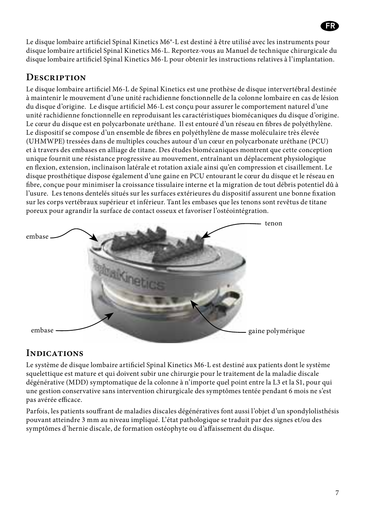Le disque lombaire artificiel Spinal Kinetics M6®-L est destiné à être utilisé avec les instruments pour disque lombaire artificiel Spinal Kinetics M6-L. Reportez-vous au Manuel de technique chirurgicale du disque lombaire artificiel Spinal Kinetics M6-L pour obtenir les instructions relatives à l'implantation.

## **Description**

Le disque lombaire artificiel M6-L de Spinal Kinetics est une prothèse de disque intervertébral destinée à maintenir le mouvement d'une unité rachidienne fonctionnelle de la colonne lombaire en cas de lésion du disque d'origine. Le disque artificiel M6-L est conçu pour assurer le comportement naturel d'une unité rachidienne fonctionnelle en reproduisant les caractéristiques biomécaniques du disque d'origine. Le cœur du disque est en polycarbonate uréthane. Il est entouré d'un réseau en fibres de polyéthylène. Le dispositif se compose d'un ensemble de fibres en polyéthylène de masse moléculaire très élevée (UHMWPE) tressées dans de multiples couches autour d'un cœur en polycarbonate uréthane (PCU) et à travers des embases en alliage de titane. Des études biomécaniques montrent que cette conception unique fournit une résistance progressive au mouvement, entraînant un déplacement physiologique en flexion, extension, inclinaison latérale et rotation axiale ainsi qu'en compression et cisaillement. Le disque prosthétique dispose également d'une gaine en PCU entourant le cœur du disque et le réseau en fibre, conçue pour minimiser la croissance tissulaire interne et la migration de tout débris potentiel dû à l'usure. Les tenons dentelés situés sur les surfaces extérieures du dispositif assurent une bonne fixation sur les corps vertébraux supérieur et inférieur. Tant les embases que les tenons sont revêtus de titane poreux pour agrandir la surface de contact osseux et favoriser l'ostéointégration.



## **Indications**

Le système de disque lombaire artificiel Spinal Kinetics M6-L est destiné aux patients dont le système squelettique est mature et qui doivent subir une chirurgie pour le traitement de la maladie discale dégénérative (MDD) symptomatique de la colonne à n'importe quel point entre la L3 et la S1, pour qui une gestion conservative sans intervention chirurgicale des symptômes tentée pendant 6 mois ne s'est pas avérée efficace.

Parfois, les patients souffrant de maladies discales dégénératives font aussi l'objet d'un spondylolisthésis pouvant atteindre 3 mm au niveau impliqué. L'état pathologique se traduit par des signes et/ou des symptômes d'hernie discale, de formation ostéophyte ou d'affaissement du disque.

حدا

FR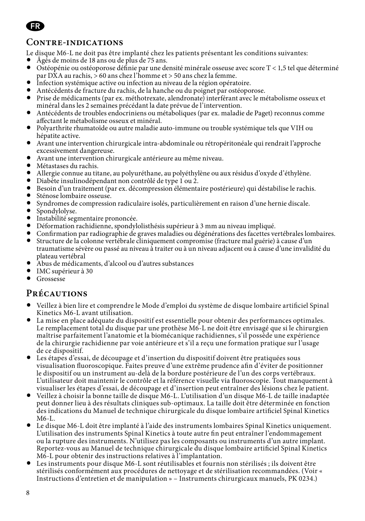

## **Contre-indications**

Le disque M6-L ne doit pas être implanté chez les patients présentant les conditions suivantes:

- Âgés de moins de 18 ans ou de plus de 75 ans.
- Ostéopénie ou ostéoporose définie par une densité minérale osseuse avec score T < 1,5 tel que déterminé par DXA au rachis, > 60 ans chez l'homme et > 50 ans chez la femme.
- Infection systémique active ou infection au niveau de la région opératoire.
- Antécédents de fracture du rachis, de la hanche ou du poignet par ostéoporose.
- Prise de médicaments (par ex. méthotrexate, alendronate) interférant avec le métabolisme osseux et minéral dans les 2 semaines précédant la date prévue de l'intervention.
- Antécédents de troubles endocriniens ou métaboliques (par ex. maladie de Paget) reconnus comme affectant le métabolisme osseux et minéral.
- Polyarthrite rhumatoïde ou autre maladie auto-immune ou trouble systémique tels que VIH ou hépatite active.
- Avant une intervention chirurgicale intra-abdominale ou rétropéritonéale qui rendrait l'approche excessivement dangereuse.
- Avant une intervention chirurgicale antérieure au même niveau.
- Métastases du rachis.
- Allergie connue au titane, au polyuréthane, au polyéthylène ou aux résidus d'oxyde d'éthylène.
- Diabète insulinodépendant non contrôlé de type 1 ou 2.
- Besoin d'un traitement (par ex. décompression élémentaire postérieure) qui déstabilise le rachis.
- Sténose lombaire osseuse.
- Syndromes de compression radiculaire isolés, particulièrement en raison d'une hernie discale.
- Spondylolyse.
- Instabilité segmentaire prononcée.
- Déformation rachidienne, spondylolisthésis supérieur à 3 mm au niveau impliqué.
- Confirmation par radiographie de graves maladies ou dégénérations des facettes vertébrales lombaires.
- Structure de la colonne vertébrale cliniquement compromise (fracture mal guérie) à cause d'un traumatisme sévère ou passé au niveau à traiter ou à un niveau adjacent ou à cause d'une invalidité du plateau vertébral
- Abus de médicaments, d'alcool ou d'autres substances
- IMC supérieur à 30
- Grossesse

#### **Précautions**

- Veillez à bien lire et comprendre le Mode d'emploi du système de disque lombaire artificiel Spinal Kinetics M6-L avant utilisation.
- La mise en place adéquate du dispositif est essentielle pour obtenir des performances optimales. Le remplacement total du disque par une prothèse M6-L ne doit être envisagé que si le chirurgien maîtrise parfaitement l'anatomie et la biomécanique rachidiennes, s'il possède une expérience de la chirurgie rachidienne par voie antérieure et s'il a reçu une formation pratique sur l'usage de ce dispositif.
- Les étapes d'essai, de découpage et d'insertion du dispositif doivent être pratiquées sous visualisation fluoroscopique. Faites preuve d'une extrême prudence afin d'éviter de positionner le dispositif ou un instrument au-delà de la bordure postérieure de l'un des corps vertébraux. L'utilisateur doit maintenir le contrôle et la référence visuelle via fluoroscopie. Tout manquement à visualiser les étapes d'essai, de découpage et d'insertion peut entraîner des lésions chez le patient.
- Veillez à choisir la bonne taille de disque M6-L. L'utilisation d'un disque M6-L de taille inadaptée peut donner lieu à des résultats cliniques sub-optimaux. La taille doit être déterminée en fonction des indications du Manuel de technique chirurgicale du disque lombaire artificiel Spinal Kinetics M6-L.
- Le disque M6-L doit être implanté à l'aide des instruments lombaires Spinal Kinetics uniquement. L'utilisation des instruments Spinal Kinetics à toute autre fin peut entraîner l'endommagement ou la rupture des instruments. N'utilisez pas les composants ou instruments d'un autre implant. Reportez-vous au Manuel de technique chirurgicale du disque lombaire artificiel Spinal Kinetics M6-L pour obtenir des instructions relatives à l'implantation.
- Les instruments pour disque M6-L sont réutilisables et fournis non stérilisés ; ils doivent être stérilisés conformément aux procédures de nettoyage et de stérilisation recommandées. (Voir « Instructions d'entretien et de manipulation » – Instruments chirurgicaux manuels, PK 0234.)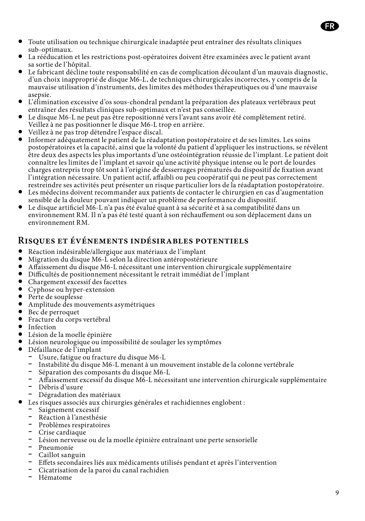- Toute utilisation ou technique chirurgicale inadaptée peut entraîner des résultats cliniques sub-optimaux.
- La rééducation et les restrictions post-opératoires doivent être examinées avec le patient avant sa sortie de l'hôpital.
- Le fabricant décline toute responsabilité en cas de complication découlant d'un mauvais diagnostic, d'un choix inapproprié de disque M6-L, de techniques chirurgicales incorrectes, y compris de la mauvaise utilisation d'instruments, des limites des méthodes thérapeutiques ou d'une mauvaise asepsie.
- L'élimination excessive d'os sous-chondral pendant la préparation des plateaux vertébraux peut entraîner des résultats cliniques sub-optimaux et n'est pas conseillée.
- Le disque M6-L ne peut pas être repositionné vers l'avant sans avoir été complètement retiré. Veillez à ne pas positionner le disque M6-L trop en arrière.
- Veillez à ne pas trop détendre l'espace discal.
- Informer adéquatement le patient de la réadaptation postopératoire et de ses limites. Les soins postopératoires et la capacité, ainsi que la volonté du patient d'appliquer les instructions, se révèlent être deux des aspects les plus importants d'une ostéointégration réussie de l'implant. Le patient doit connaître les limites de l'implant et savoir qu'une activité physique intense ou le port de lourdes charges entrepris trop tôt sont à l'origine de desserrages prématurés du dispositif de fixation avant l'intégration nécessaire. Un patient actif, affaibli ou peu coopératif qui ne peut pas correctement restreindre ses activités peut présenter un risque particulier lors de la réadaptation postopératoire.
- Les médecins doivent recommander aux patients de contacter le chirurgien en cas d'augmentation sensible de la douleur pouvant indiquer un problème de performance du dispositif.
- Le disque artificiel M6-L n'a pas été évalué quant à sa sécurité et à sa compatibilité dans un environnement RM. Il n'a pas été testé quant à son réchauffement ou son déplacement dans un environnement RM.

#### **Risques et événements indésirables potentiels**

- Réaction indésirable/allergique aux matériaux de l'implant
- Migration du disque M6-L selon la direction antéropostérieure
- Affaissement du disque M6-L nécessitant une intervention chirurgicale supplémentaire
- Difficultés de positionnement nécessitant le retrait immédiat de l'implant
- Chargement excessif des facettes
- Cyphose ou hyper-extension
- Perte de souplesse
- Amplitude des mouvements asymétriques
- Bec de perroquet
- Fracture du corps vertébral
- Infection
- Lésion de la moelle épinière
- Lésion neurologique ou impossibilité de soulager les symptômes
- Défaillance de l'implant
	- Usure, fatigue ou fracture du disque M6-L
	- Instabilité du disque M6-L menant à un mouvement instable de la colonne vertébrale
	- Séparation des composants du disque M6-L
	- Affaissement excessif du disque M6-L nécessitant une intervention chirurgicale supplémentaire
	- Débris d'usure
	- Dégradation des matériaux
- Les risques associés aux chirurgies générales et rachidiennes englobent :
	- Saignement excessif
	- Réaction à l'anesthésie
	- Problèmes respiratoires
	- Crise cardiaque
	- Lésion nerveuse ou de la moelle épinière entraînant une perte sensorielle
	- Pneumonie
	- Caillot sanguin
	- Effets secondaires liés aux médicaments utilisés pendant et après l'intervention
	- Cicatrisation de la paroi du canal rachidien
	- Hématome

حد

FR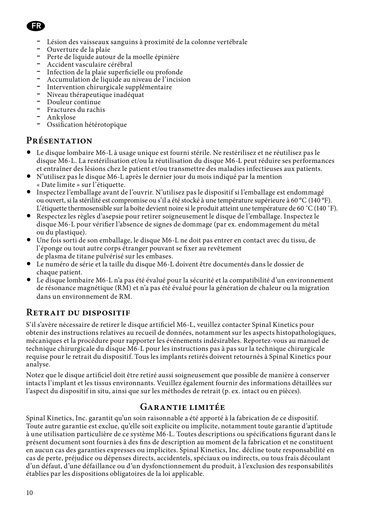

- Lésion des vaisseaux sanguins à proximité de la colonne vertébrale
- Ouverture de la plaie
- Perte de liquide autour de la moelle épinière
- Accident vasculaire cérébral
- Infection de la plaie superficielle ou profonde
- Accumulation de liquide au niveau de l'incision Intervention chirurgicale supplémentaire
- Intervention chirurgicale supplémentaire<br>- Niveau thérapeutique inadéquat
- 
- Douleur continue
- Fractures du rachis
- Ankylose
- Ossification hétérotopique

## **Présentation**

- Le disque lombaire M6-L à usage unique est fourni stérile. Ne restérilisez et ne réutilisez pas le disque M6-L. La restérilisation et/ou la réutilisation du disque M6-L peut réduire ses performances et entraîner des lésions chez le patient et/ou transmettre des maladies infectieuses aux patients.
- N'utilisez pas le disque M6-L après le dernier jour du mois indiqué par la mention « Date limite » sur l'étiquette.
- Inspectez l'emballage avant de l'ouvrir. N'utilisez pas le dispositif si l'emballage est endommagé ou ouvert, si la stérilité est compromise ou s'il a été stocké à une température supérieure à 60 °C (140 °F). L'étiquette thermosensible sur la boîte devient noire si le produit atteint une température de 60 ˚C (140 ˚F).
- Respectez les règles d'asepsie pour retirer soigneusement le disque de l'emballage. Inspectez le disque M6-L pour vérifier l'absence de signes de dommage (par ex. endommagement du métal ou du plastique).
- Une fois sorti de son emballage, le disque M6-L ne doit pas entrer en contact avec du tissu, de l'éponge ou tout autre corps étranger pouvant se fixer au revêtement de plasma de titane pulvérisé sur les embases.
- Le numéro de série et la taille du disque M6-L doivent être documentés dans le dossier de chaque patient.
- Le disque lombaire M6-L n'a pas été évalué pour la sécurité et la compatibilité d'un environnement de résonance magnétique (RM) et n'a pas été évalué pour la génération de chaleur ou la migration dans un environnement de RM.

#### **Retrait du dispositif**

S'il s'avère nécessaire de retirer le disque artificiel M6-L, veuillez contacter Spinal Kinetics pour obtenir des instructions relatives au recueil de données, notamment sur les aspects histopathologiques, mécaniques et la procédure pour rapporter les événements indésirables. Reportez-vous au manuel de technique chirurgicale du disque M6-L pour les instructions pas à pas sur la technique chirurgicale requise pour le retrait du dispositif. Tous les implants retirés doivent retournés à Spinal Kinetics pour analyse.

Notez que le disque artificiel doit être retiré aussi soigneusement que possible de manière à conserver intacts l'implant et les tissus environnants. Veuillez également fournir des informations détaillées sur l'aspect du dispositif in situ, ainsi que sur les méthodes de retrait (p. ex. intact ou en pièces).

#### **Garantie limitée**

Spinal Kinetics, Inc. garantit qu'un soin raisonnable a été apporté à la fabrication de ce dispositif. Toute autre garantie est exclue, qu'elle soit explicite ou implicite, notamment toute garantie d'aptitude à une utilisation particulière de ce système M6-L. Toutes descriptions ou spécifications figurant dans le présent document sont fournies à des fins de description au moment de la fabrication et ne constituent en aucun cas des garanties expresses ou implicites. Spinal Kinetics, Inc. décline toute responsabilité en cas de perte, préjudice ou dépenses directs, accidentels, spéciaux ou indirects, ou tous frais découlant d'un défaut, d'une défaillance ou d'un dysfonctionnement du produit, à l'exclusion des responsabilités établies par les dispositions obligatoires de la loi applicable.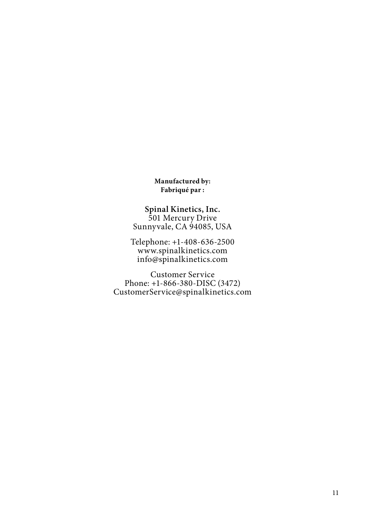**Manufactured by: Fabriqué par :**

**Spinal Kinetics, Inc.** 501 Mercury Drive Sunnyvale, CA 94085, USA

Telephone: +1-408-636-2500 www.spinalkinetics.com info@spinalkinetics.com

Customer Service Phone: +1-866-380-DISC (3472) CustomerService@spinalkinetics.com